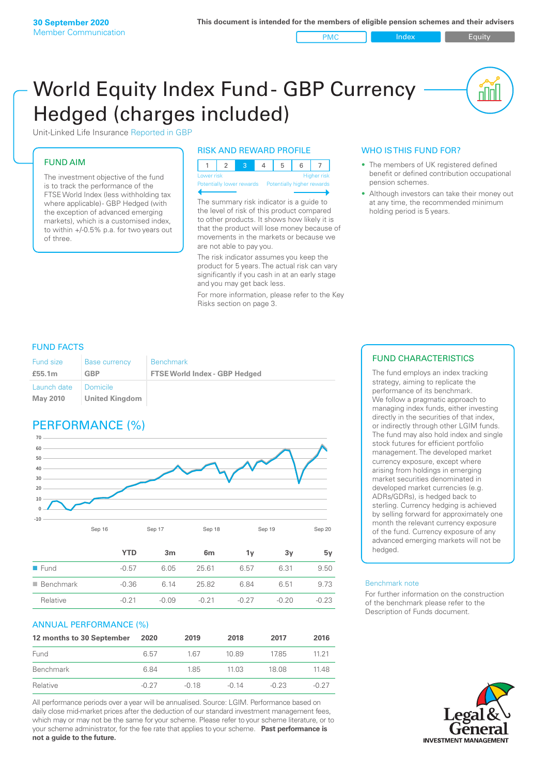#### PMC Index PMC Equity

nnl

# World Equity Index Fund- GBP Currency Hedged (charges included)



## FUND AIM

The investment objective of the fund is to track the performance of the FTSE World Index (less withholding tax where applicable) - GBP Hedged (with the exception of advanced emerging markets), which is a customised index, to within +/‑0.5% p.a. for two years out of three.

## RISK AND REWARD PROFILE

| Lower risk |  |  | <b>Higher</b> risk |
|------------|--|--|--------------------|

Potentially lower rewards

The summary risk indicator is a guide to the level of risk of this product compared to other products. It shows how likely it is that the product will lose money because of movements in the markets or because we are not able to pay you.

The risk indicator assumes you keep the product for 5 years. The actual risk can vary significantly if you cash in at an early stage and you may get back less.

For more information, please refer to the Key Risks section on page 3.

## WHO IS THIS FUND FOR?

- The members of UK registered defined benefit or defined contribution occupational pension schemes.
- Although investors can take their money out at any time, the recommended minimum holding period is 5 years.

## FUND FACTS

| <b>Fund size</b>        | <b>Base currency</b>         | <b>Benchmark</b>                     |
|-------------------------|------------------------------|--------------------------------------|
| £55.1m                  | GBP                          | <b>FTSE World Index - GBP Hedged</b> |
| Launch date<br>May 2010 | I Domicile<br>United Kingdom |                                      |

## PERFORMANCE (%)



|                          | YTD     | 3m      | 6 <sub>m</sub> | ΊV      | З٧    | 5v      |
|--------------------------|---------|---------|----------------|---------|-------|---------|
| $\blacksquare$ Fund      | $-0.57$ | 6.05    | 25.61          | 6.57    | 6.31  | 9.50    |
| $\blacksquare$ Benchmark | $-0.36$ | 6 14    | 25.82          | 6.84    | 6.51  | 9.73    |
| Relative                 | $-0.21$ | $-0.09$ | $-0.21$        | $-0.27$ | -0.20 | $-0.23$ |

## ANNUAL PERFORMANCE (%)

| 12 months to 30 September | 2020    | 2019    | 2018    | 2017    | 2016  |
|---------------------------|---------|---------|---------|---------|-------|
| Fund                      | 6.57    | 1 67    | 10.89   | 17.85   | 11 21 |
| Benchmark                 | 6.84    | 185     | 11 03   | 18.08   | 11.48 |
| Relative                  | $-0.27$ | $-0.18$ | $-0.14$ | $-0.23$ | -0.27 |

All performance periods over a year will be annualised. Source: LGIM. Performance based on daily close mid-market prices after the deduction of our standard investment management fees, which may or may not be the same for your scheme. Please refer to your scheme literature, or to your scheme administrator, for the fee rate that applies to your scheme. **Past performance is not a guide to the future.**

## FUND CHARACTERISTICS

The fund employs an index tracking strategy, aiming to replicate the performance of its benchmark. We follow a pragmatic approach to managing index funds, either investing directly in the securities of that index, or indirectly through other LGIM funds. The fund may also hold index and single stock futures for efficient portfolio management. The developed market currency exposure, except where arising from holdings in emerging market securities denominated in developed market currencies (e.g. ADRs/GDRs), is hedged back to sterling. Currency hedging is achieved by selling forward for approximately one month the relevant currency exposure of the fund. Currency exposure of any advanced emerging markets will not be hedged.

#### Benchmark note

For further information on the construction of the benchmark please refer to the Description of Funds document.

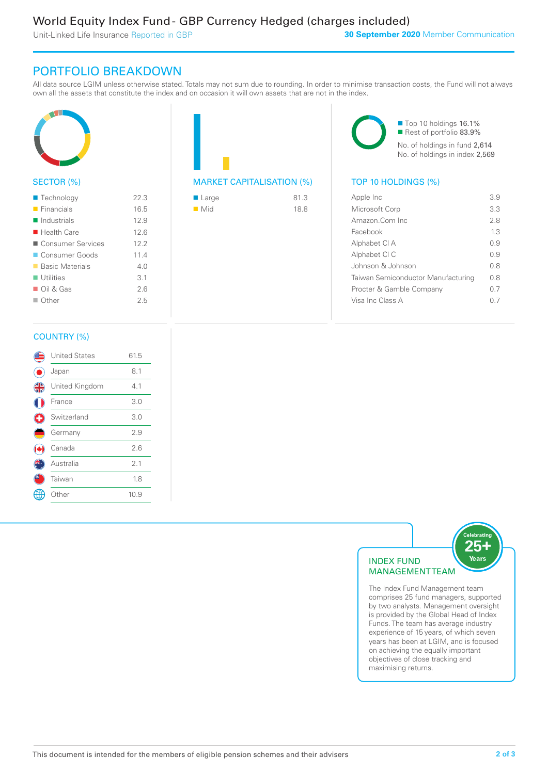Unit-Linked Life Insurance Reported in GBP

## PORTFOLIO BREAKDOWN

All data source LGIM unless otherwise stated. Totals may not sum due to rounding. In order to minimise transaction costs, the Fund will not always own all the assets that constitute the index and on occasion it will own assets that are not in the index.



## SECTOR (%)

| $\blacksquare$ Technology  | 22.3            |
|----------------------------|-----------------|
| $\blacksquare$ Financials  | 16.5            |
| $\blacksquare$ Industrials | 12.9            |
| $\blacksquare$ Health Care | 12.6            |
| ■ Consumer Services        | 12.2            |
| Consumer Goods             | 11.4            |
| ■ Basic Materials          | 4 N             |
| $\blacksquare$ Utilities   | $\overline{3}1$ |
| $\Box$ Oil & Gas           | 26              |
| $\Box$ Other               | 25              |
|                            |                 |



| ■ Large            | 81.3 |
|--------------------|------|
| $\blacksquare$ Mid | 18.8 |

■ Top 10 holdings 16.1% Rest of portfolio 83.9% No. of holdings in fund 2,614 No. of holdings in index 2,569

| Apple Inc                          | 39   |
|------------------------------------|------|
| Microsoft Corp                     | 33   |
| Amazon.Com Inc                     | 28   |
| Facebook                           | 13   |
| Alphabet CI A                      | O 9  |
| Alphabet CI C                      | O 9  |
| Johnson & Johnson                  | 0 S  |
| Taiwan Semiconductor Manufacturing | 0 S  |
| Procter & Gamble Company           | 0.7  |
| Visa Inc Class A                   | () / |
|                                    |      |

## COUNTRY (%)

|   | <b>United States</b> | 61.5 |  |
|---|----------------------|------|--|
|   | Japan                | 8.1  |  |
| 4 | United Kingdom       | 4.1  |  |
|   | France               | 3.0  |  |
|   | Switzerland          | 3.0  |  |
|   | Germany              | 2.9  |  |
|   | Canada               | 2.6  |  |
|   | Australia            | 2.1  |  |
|   | Taiwan               | 1.8  |  |
|   | Other                | 10.9 |  |
|   |                      |      |  |



comprises 25 fund managers, supported by two analysts. Management oversight is provided by the Global Head of Index Funds. The team has average industry experience of 15 years, of which seven years has been at LGIM, and is focused on achieving the equally important objectives of close tracking and maximising returns.